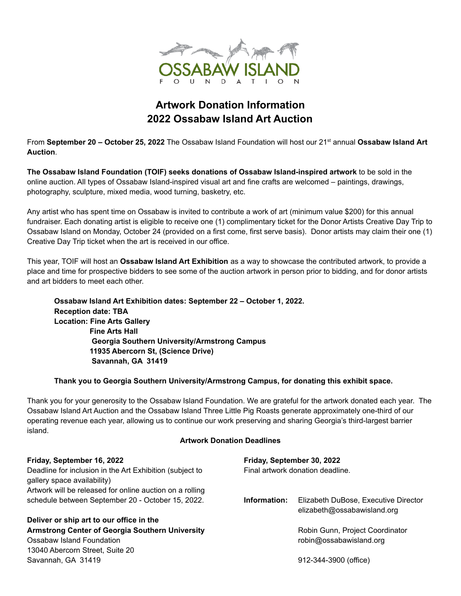

## **Artwork Donation Information 2022 Ossabaw Island Art Auction**

From **September 20 – October 25, 2022** The Ossabaw Island Foundation will host our 21 st annual **Ossabaw Island Art Auction**.

**The Ossabaw Island Foundation (TOIF) seeks donations of Ossabaw Island-inspired artwork** to be sold in the online auction. All types of Ossabaw Island-inspired visual art and fine crafts are welcomed – paintings, drawings, photography, sculpture, mixed media, wood turning, basketry, etc.

Any artist who has spent time on Ossabaw is invited to contribute a work of art (minimum value \$200) for this annual fundraiser. Each donating artist is eligible to receive one (1) complimentary ticket for the Donor Artists Creative Day Trip to Ossabaw Island on Monday, October 24 (provided on a first come, first serve basis). Donor artists may claim their one (1) Creative Day Trip ticket when the art is received in our office.

This year, TOIF will host an **Ossabaw Island Art Exhibition** as a way to showcase the contributed artwork, to provide a place and time for prospective bidders to see some of the auction artwork in person prior to bidding, and for donor artists and art bidders to meet each other.

**Ossabaw Island Art Exhibition dates: September 22 – October 1, 2022. Reception date: TBA Location: Fine Arts Gallery Fine Arts Hall Georgia Southern University/Armstrong Campus 11935 Abercorn St, (Science Drive) Savannah, GA 31419**

## **Thank you to Georgia Southern University/Armstrong Campus, for donating this exhibit space.**

Thank you for your generosity to the Ossabaw Island Foundation. We are grateful for the artwork donated each year. The Ossabaw Island Art Auction and the Ossabaw Island Three Little Pig Roasts generate approximately one-third of our operating revenue each year, allowing us to continue our work preserving and sharing Georgia's third-largest barrier island.

## **Artwork Donation Deadlines**

| Friday, September 16, 2022                                                              | Friday, September 30, 2022       |                                                                     |
|-----------------------------------------------------------------------------------------|----------------------------------|---------------------------------------------------------------------|
| Deadline for inclusion in the Art Exhibition (subject to<br>gallery space availability) | Final artwork donation deadline. |                                                                     |
| Artwork will be released for online auction on a rolling                                |                                  |                                                                     |
| schedule between September 20 - October 15, 2022.                                       | Information:                     | Elizabeth DuBose, Executive Director<br>elizabeth@ossabawisland.org |
| Deliver or ship art to our office in the                                                |                                  |                                                                     |
| Armstrong Center of Georgia Southern University                                         |                                  | Robin Gunn, Project Coordinator                                     |
| Ossabaw Island Foundation                                                               |                                  | robin@ossabawisland.org                                             |
| 13040 Abercorn Street, Suite 20                                                         |                                  |                                                                     |
| Savannah, GA 31419                                                                      |                                  | 912-344-3900 (office)                                               |